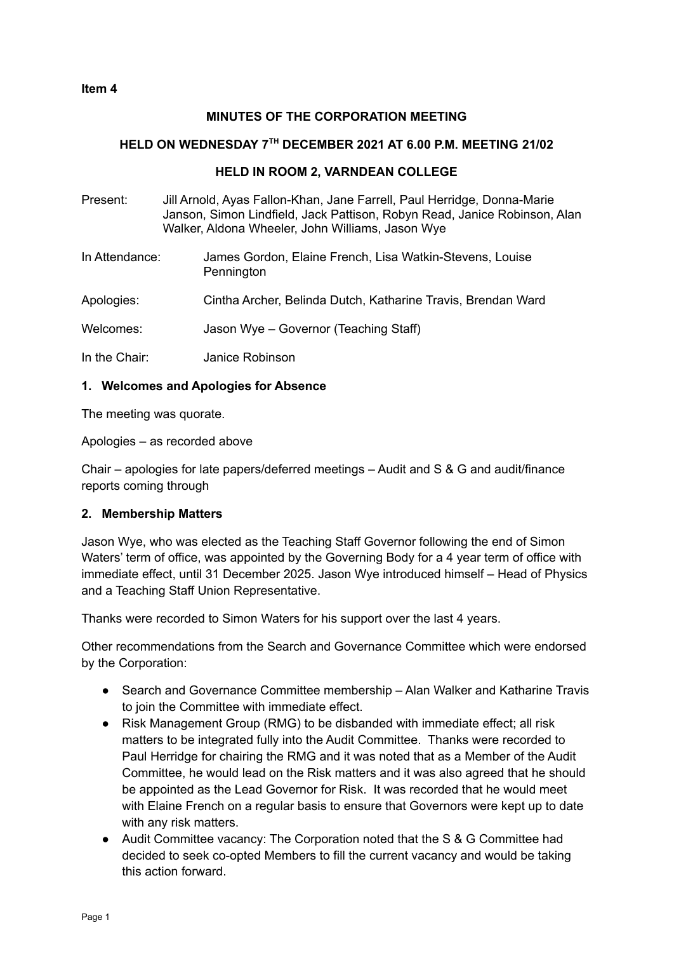## **MINUTES OF THE CORPORATION MEETING**

### **HELD ON WEDNESDAY 7 TH DECEMBER 2021 AT 6.00 P.M. MEETING 21/02**

### **HELD IN ROOM 2, VARNDEAN COLLEGE**

- Present: Jill Arnold, Ayas Fallon-Khan, Jane Farrell, Paul Herridge, Donna-Marie Janson, Simon Lindfield, Jack Pattison, Robyn Read, Janice Robinson, Alan Walker, Aldona Wheeler, John Williams, Jason Wye
- In Attendance: James Gordon, Elaine French, Lisa Watkin-Stevens, Louise **Pennington**
- Apologies: Cintha Archer, Belinda Dutch, Katharine Travis, Brendan Ward

Welcomes: Jason Wye – Governor (Teaching Staff)

In the Chair: Janice Robinson

#### **1. Welcomes and Apologies for Absence**

The meeting was quorate.

Apologies – as recorded above

Chair – apologies for late papers/deferred meetings – Audit and S & G and audit/finance reports coming through

### **2. Membership Matters**

Jason Wye, who was elected as the Teaching Staff Governor following the end of Simon Waters' term of office, was appointed by the Governing Body for a 4 year term of office with immediate effect, until 31 December 2025. Jason Wye introduced himself – Head of Physics and a Teaching Staff Union Representative.

Thanks were recorded to Simon Waters for his support over the last 4 years.

Other recommendations from the Search and Governance Committee which were endorsed by the Corporation:

- Search and Governance Committee membership Alan Walker and Katharine Travis to join the Committee with immediate effect.
- Risk Management Group (RMG) to be disbanded with immediate effect; all risk matters to be integrated fully into the Audit Committee. Thanks were recorded to Paul Herridge for chairing the RMG and it was noted that as a Member of the Audit Committee, he would lead on the Risk matters and it was also agreed that he should be appointed as the Lead Governor for Risk. It was recorded that he would meet with Elaine French on a regular basis to ensure that Governors were kept up to date with any risk matters.
- Audit Committee vacancy: The Corporation noted that the S & G Committee had decided to seek co-opted Members to fill the current vacancy and would be taking this action forward.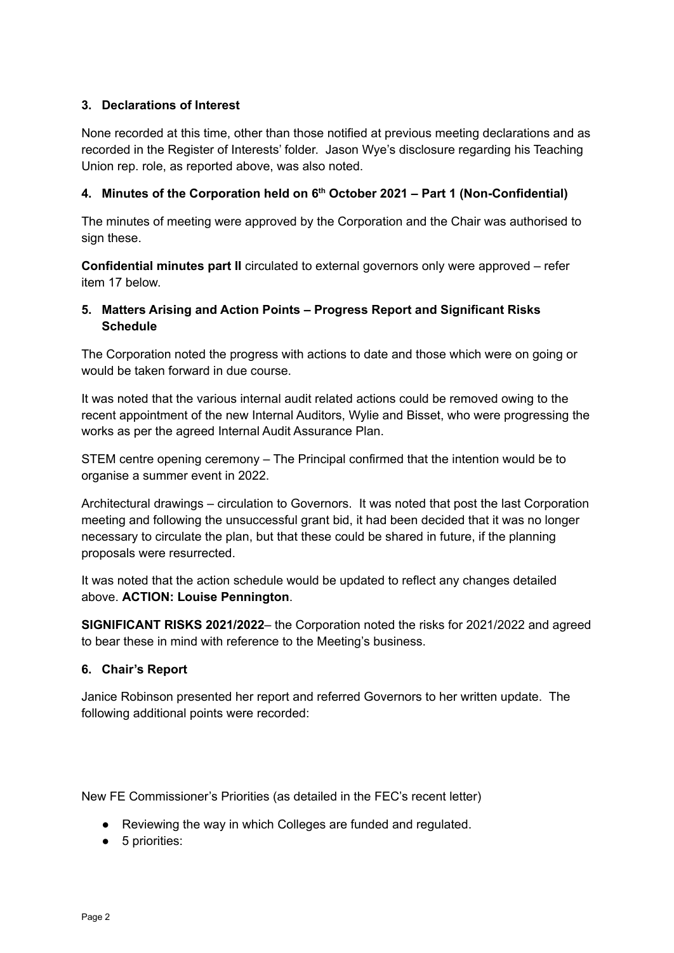## **3. Declarations of Interest**

None recorded at this time, other than those notified at previous meeting declarations and as recorded in the Register of Interests' folder. Jason Wye's disclosure regarding his Teaching Union rep. role, as reported above, was also noted.

### **4. Minutes of the Corporation held on 6 th October 2021 – Part 1 (Non-Confidential)**

The minutes of meeting were approved by the Corporation and the Chair was authorised to sign these.

**Confidential minutes part II** circulated to external governors only were approved – refer item 17 below.

# **5. Matters Arising and Action Points – Progress Report and Significant Risks Schedule**

The Corporation noted the progress with actions to date and those which were on going or would be taken forward in due course.

It was noted that the various internal audit related actions could be removed owing to the recent appointment of the new Internal Auditors, Wylie and Bisset, who were progressing the works as per the agreed Internal Audit Assurance Plan.

STEM centre opening ceremony – The Principal confirmed that the intention would be to organise a summer event in 2022.

Architectural drawings – circulation to Governors. It was noted that post the last Corporation meeting and following the unsuccessful grant bid, it had been decided that it was no longer necessary to circulate the plan, but that these could be shared in future, if the planning proposals were resurrected.

It was noted that the action schedule would be updated to reflect any changes detailed above. **ACTION: Louise Pennington**.

**SIGNIFICANT RISKS 2021/2022**– the Corporation noted the risks for 2021/2022 and agreed to bear these in mind with reference to the Meeting's business.

### **6. Chair's Report**

Janice Robinson presented her report and referred Governors to her written update. The following additional points were recorded:

New FE Commissioner's Priorities (as detailed in the FEC's recent letter)

- Reviewing the way in which Colleges are funded and regulated.
- 5 priorities: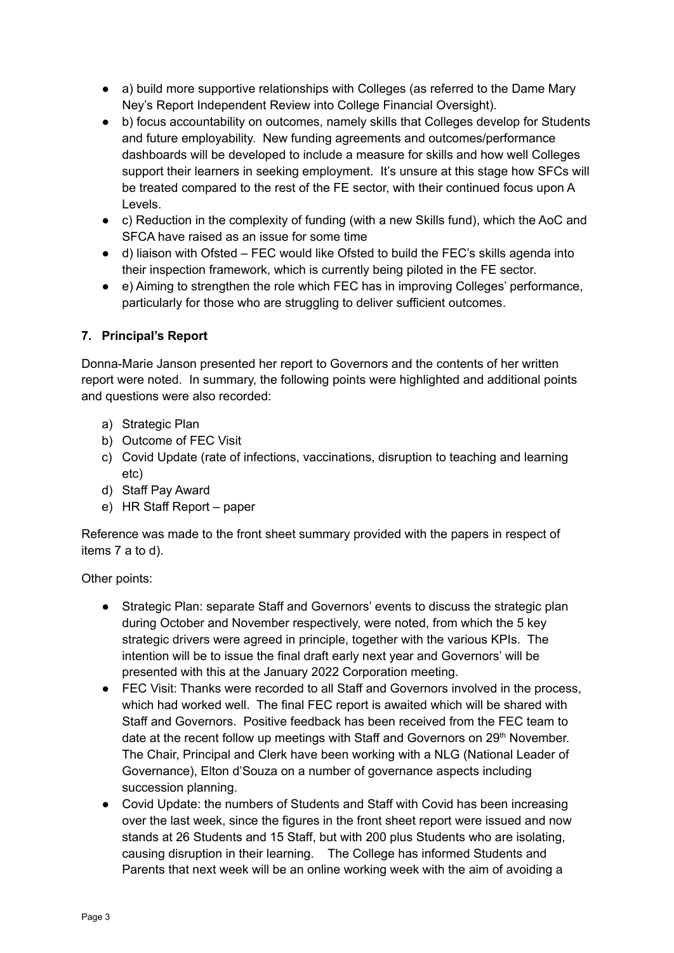- a) build more supportive relationships with Colleges (as referred to the Dame Mary Ney's Report Independent Review into College Financial Oversight).
- b) focus accountability on outcomes, namely skills that Colleges develop for Students and future employability. New funding agreements and outcomes/performance dashboards will be developed to include a measure for skills and how well Colleges support their learners in seeking employment. It's unsure at this stage how SFCs will be treated compared to the rest of the FE sector, with their continued focus upon A Levels.
- c) Reduction in the complexity of funding (with a new Skills fund), which the AoC and SFCA have raised as an issue for some time
- d) liaison with Ofsted FEC would like Ofsted to build the FEC's skills agenda into their inspection framework, which is currently being piloted in the FE sector.
- e) Aiming to strengthen the role which FEC has in improving Colleges' performance, particularly for those who are struggling to deliver sufficient outcomes.

# **7. Principal's Report**

Donna-Marie Janson presented her report to Governors and the contents of her written report were noted. In summary, the following points were highlighted and additional points and questions were also recorded:

- a) Strategic Plan
- b) Outcome of FEC Visit
- c) Covid Update (rate of infections, vaccinations, disruption to teaching and learning etc)
- d) Staff Pay Award
- e) HR Staff Report paper

Reference was made to the front sheet summary provided with the papers in respect of items 7 a to d).

Other points:

- Strategic Plan: separate Staff and Governors' events to discuss the strategic plan during October and November respectively, were noted, from which the 5 key strategic drivers were agreed in principle, together with the various KPIs. The intention will be to issue the final draft early next year and Governors' will be presented with this at the January 2022 Corporation meeting.
- FEC Visit: Thanks were recorded to all Staff and Governors involved in the process, which had worked well. The final FEC report is awaited which will be shared with Staff and Governors. Positive feedback has been received from the FEC team to date at the recent follow up meetings with Staff and Governors on 29<sup>th</sup> November. The Chair, Principal and Clerk have been working with a NLG (National Leader of Governance), Elton d'Souza on a number of governance aspects including succession planning.
- Covid Update: the numbers of Students and Staff with Covid has been increasing over the last week, since the figures in the front sheet report were issued and now stands at 26 Students and 15 Staff, but with 200 plus Students who are isolating, causing disruption in their learning. The College has informed Students and Parents that next week will be an online working week with the aim of avoiding a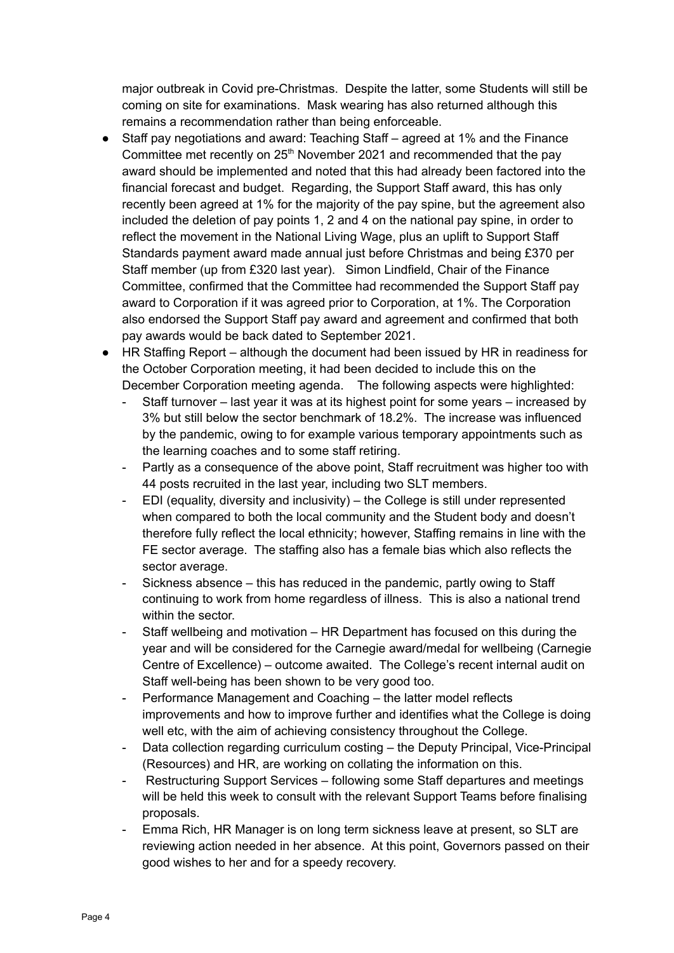major outbreak in Covid pre-Christmas. Despite the latter, some Students will still be coming on site for examinations. Mask wearing has also returned although this remains a recommendation rather than being enforceable.

- Staff pay negotiations and award: Teaching Staff agreed at 1% and the Finance Committee met recently on  $25<sup>th</sup>$  November 2021 and recommended that the pay award should be implemented and noted that this had already been factored into the financial forecast and budget. Regarding, the Support Staff award, this has only recently been agreed at 1% for the majority of the pay spine, but the agreement also included the deletion of pay points 1, 2 and 4 on the national pay spine, in order to reflect the movement in the National Living Wage, plus an uplift to Support Staff Standards payment award made annual just before Christmas and being £370 per Staff member (up from £320 last year). Simon Lindfield, Chair of the Finance Committee, confirmed that the Committee had recommended the Support Staff pay award to Corporation if it was agreed prior to Corporation, at 1%. The Corporation also endorsed the Support Staff pay award and agreement and confirmed that both pay awards would be back dated to September 2021.
- HR Staffing Report although the document had been issued by HR in readiness for the October Corporation meeting, it had been decided to include this on the December Corporation meeting agenda. The following aspects were highlighted:
	- Staff turnover last year it was at its highest point for some years increased by 3% but still below the sector benchmark of 18.2%. The increase was influenced by the pandemic, owing to for example various temporary appointments such as the learning coaches and to some staff retiring.
	- Partly as a consequence of the above point, Staff recruitment was higher too with 44 posts recruited in the last year, including two SLT members.
	- EDI (equality, diversity and inclusivity) the College is still under represented when compared to both the local community and the Student body and doesn't therefore fully reflect the local ethnicity; however, Staffing remains in line with the FE sector average. The staffing also has a female bias which also reflects the sector average.
	- Sickness absence this has reduced in the pandemic, partly owing to Staff continuing to work from home regardless of illness. This is also a national trend within the sector.
	- Staff wellbeing and motivation HR Department has focused on this during the year and will be considered for the Carnegie award/medal for wellbeing (Carnegie Centre of Excellence) – outcome awaited. The College's recent internal audit on Staff well-being has been shown to be very good too.
	- Performance Management and Coaching the latter model reflects improvements and how to improve further and identifies what the College is doing well etc, with the aim of achieving consistency throughout the College.
	- Data collection regarding curriculum costing the Deputy Principal, Vice-Principal (Resources) and HR, are working on collating the information on this.
	- Restructuring Support Services following some Staff departures and meetings will be held this week to consult with the relevant Support Teams before finalising proposals.
	- Emma Rich, HR Manager is on long term sickness leave at present, so SLT are reviewing action needed in her absence. At this point, Governors passed on their good wishes to her and for a speedy recovery.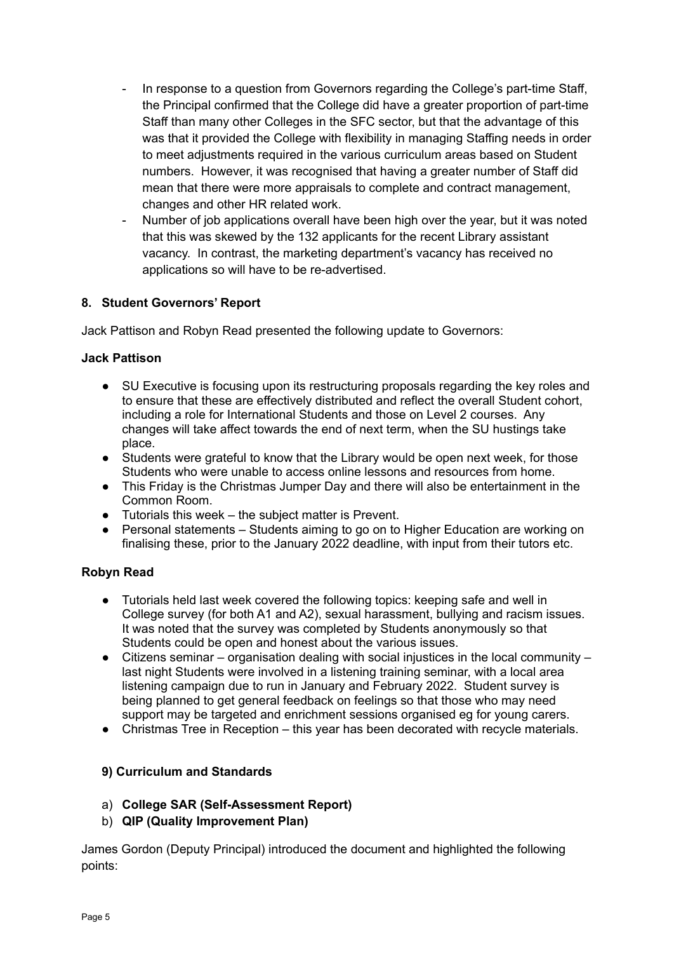- In response to a question from Governors regarding the College's part-time Staff, the Principal confirmed that the College did have a greater proportion of part-time Staff than many other Colleges in the SFC sector, but that the advantage of this was that it provided the College with flexibility in managing Staffing needs in order to meet adjustments required in the various curriculum areas based on Student numbers. However, it was recognised that having a greater number of Staff did mean that there were more appraisals to complete and contract management, changes and other HR related work.
- Number of job applications overall have been high over the year, but it was noted that this was skewed by the 132 applicants for the recent Library assistant vacancy. In contrast, the marketing department's vacancy has received no applications so will have to be re-advertised.

### **8. Student Governors' Report**

Jack Pattison and Robyn Read presented the following update to Governors:

### **Jack Pattison**

- SU Executive is focusing upon its restructuring proposals regarding the key roles and to ensure that these are effectively distributed and reflect the overall Student cohort, including a role for International Students and those on Level 2 courses. Any changes will take affect towards the end of next term, when the SU hustings take place.
- Students were grateful to know that the Library would be open next week, for those Students who were unable to access online lessons and resources from home.
- This Friday is the Christmas Jumper Day and there will also be entertainment in the Common Room.
- Tutorials this week the subject matter is Prevent.
- Personal statements Students aiming to go on to Higher Education are working on finalising these, prior to the January 2022 deadline, with input from their tutors etc.

## **Robyn Read**

- Tutorials held last week covered the following topics: keeping safe and well in College survey (for both A1 and A2), sexual harassment, bullying and racism issues. It was noted that the survey was completed by Students anonymously so that Students could be open and honest about the various issues.
- $\bullet$  Citizens seminar organisation dealing with social injustices in the local community last night Students were involved in a listening training seminar, with a local area listening campaign due to run in January and February 2022. Student survey is being planned to get general feedback on feelings so that those who may need support may be targeted and enrichment sessions organised eg for young carers.
- Christmas Tree in Reception this year has been decorated with recycle materials.

## **9) Curriculum and Standards**

- a) **College SAR (Self-Assessment Report)**
- b) **QIP (Quality Improvement Plan)**

James Gordon (Deputy Principal) introduced the document and highlighted the following points: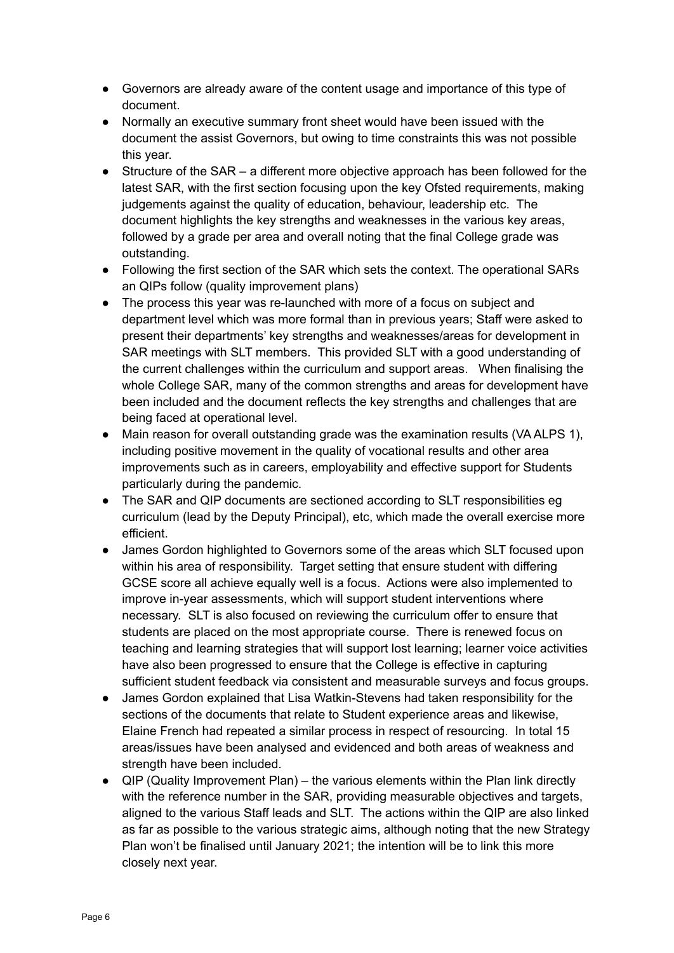- Governors are already aware of the content usage and importance of this type of document.
- Normally an executive summary front sheet would have been issued with the document the assist Governors, but owing to time constraints this was not possible this year.
- Structure of the SAR a different more objective approach has been followed for the latest SAR, with the first section focusing upon the key Ofsted requirements, making judgements against the quality of education, behaviour, leadership etc. The document highlights the key strengths and weaknesses in the various key areas, followed by a grade per area and overall noting that the final College grade was outstanding.
- Following the first section of the SAR which sets the context. The operational SARs an QIPs follow (quality improvement plans)
- The process this year was re-launched with more of a focus on subject and department level which was more formal than in previous years; Staff were asked to present their departments' key strengths and weaknesses/areas for development in SAR meetings with SLT members. This provided SLT with a good understanding of the current challenges within the curriculum and support areas. When finalising the whole College SAR, many of the common strengths and areas for development have been included and the document reflects the key strengths and challenges that are being faced at operational level.
- Main reason for overall outstanding grade was the examination results (VA ALPS 1), including positive movement in the quality of vocational results and other area improvements such as in careers, employability and effective support for Students particularly during the pandemic.
- The SAR and QIP documents are sectioned according to SLT responsibilities eg curriculum (lead by the Deputy Principal), etc, which made the overall exercise more efficient.
- James Gordon highlighted to Governors some of the areas which SLT focused upon within his area of responsibility. Target setting that ensure student with differing GCSE score all achieve equally well is a focus. Actions were also implemented to improve in-year assessments, which will support student interventions where necessary. SLT is also focused on reviewing the curriculum offer to ensure that students are placed on the most appropriate course. There is renewed focus on teaching and learning strategies that will support lost learning; learner voice activities have also been progressed to ensure that the College is effective in capturing sufficient student feedback via consistent and measurable surveys and focus groups.
- James Gordon explained that Lisa Watkin-Stevens had taken responsibility for the sections of the documents that relate to Student experience areas and likewise, Elaine French had repeated a similar process in respect of resourcing. In total 15 areas/issues have been analysed and evidenced and both areas of weakness and strength have been included.
- QIP (Quality Improvement Plan) the various elements within the Plan link directly with the reference number in the SAR, providing measurable objectives and targets, aligned to the various Staff leads and SLT. The actions within the QIP are also linked as far as possible to the various strategic aims, although noting that the new Strategy Plan won't be finalised until January 2021; the intention will be to link this more closely next year.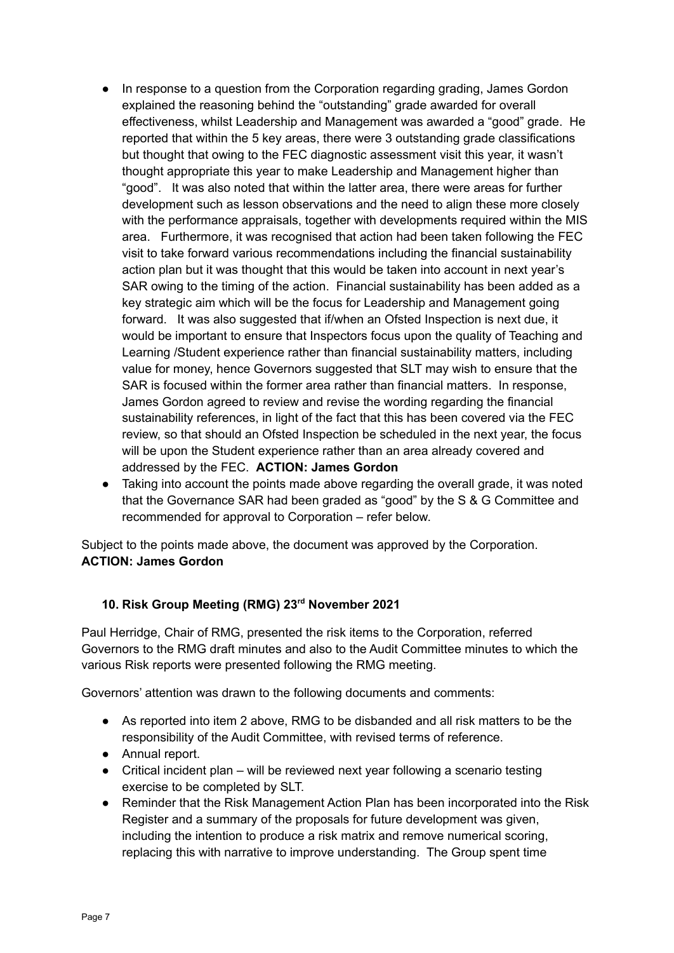- In response to a question from the Corporation regarding grading, James Gordon explained the reasoning behind the "outstanding" grade awarded for overall effectiveness, whilst Leadership and Management was awarded a "good" grade. He reported that within the 5 key areas, there were 3 outstanding grade classifications but thought that owing to the FEC diagnostic assessment visit this year, it wasn't thought appropriate this year to make Leadership and Management higher than "good". It was also noted that within the latter area, there were areas for further development such as lesson observations and the need to align these more closely with the performance appraisals, together with developments required within the MIS area. Furthermore, it was recognised that action had been taken following the FEC visit to take forward various recommendations including the financial sustainability action plan but it was thought that this would be taken into account in next year's SAR owing to the timing of the action. Financial sustainability has been added as a key strategic aim which will be the focus for Leadership and Management going forward. It was also suggested that if/when an Ofsted Inspection is next due, it would be important to ensure that Inspectors focus upon the quality of Teaching and Learning /Student experience rather than financial sustainability matters, including value for money, hence Governors suggested that SLT may wish to ensure that the SAR is focused within the former area rather than financial matters. In response, James Gordon agreed to review and revise the wording regarding the financial sustainability references, in light of the fact that this has been covered via the FEC review, so that should an Ofsted Inspection be scheduled in the next year, the focus will be upon the Student experience rather than an area already covered and addressed by the FEC. **ACTION: James Gordon**
- Taking into account the points made above regarding the overall grade, it was noted that the Governance SAR had been graded as "good" by the S & G Committee and recommended for approval to Corporation – refer below.

Subject to the points made above, the document was approved by the Corporation. **ACTION: James Gordon**

## **10. Risk Group Meeting (RMG) 23 rd November 2021**

Paul Herridge, Chair of RMG, presented the risk items to the Corporation, referred Governors to the RMG draft minutes and also to the Audit Committee minutes to which the various Risk reports were presented following the RMG meeting.

Governors' attention was drawn to the following documents and comments:

- As reported into item 2 above, RMG to be disbanded and all risk matters to be the responsibility of the Audit Committee, with revised terms of reference.
- Annual report.
- Critical incident plan will be reviewed next year following a scenario testing exercise to be completed by SLT.
- Reminder that the Risk Management Action Plan has been incorporated into the Risk Register and a summary of the proposals for future development was given, including the intention to produce a risk matrix and remove numerical scoring, replacing this with narrative to improve understanding. The Group spent time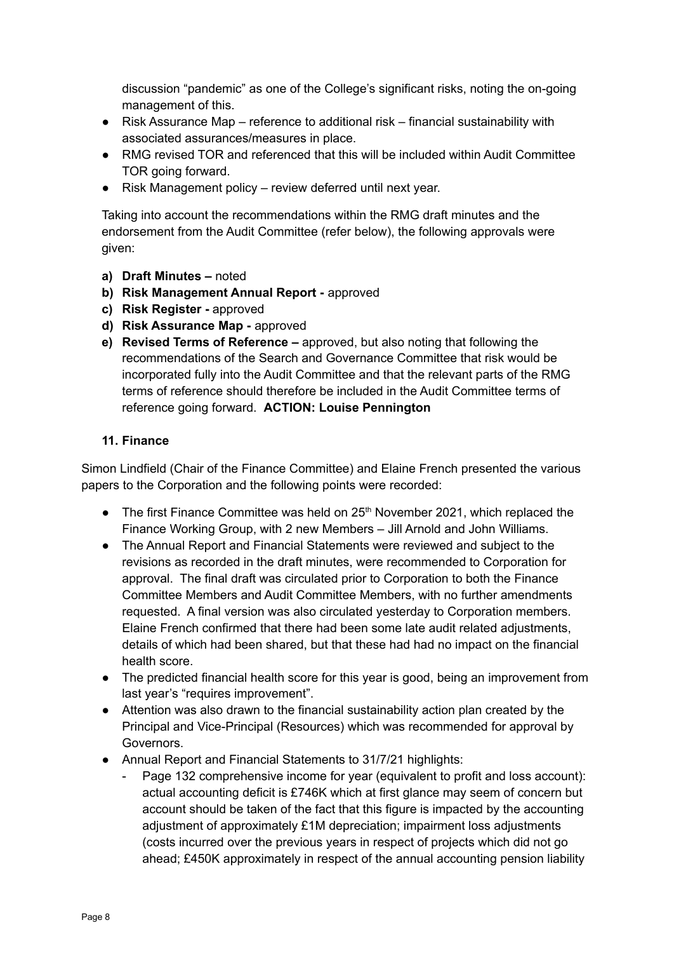discussion "pandemic" as one of the College's significant risks, noting the on-going management of this.

- Risk Assurance Map reference to additional risk financial sustainability with associated assurances/measures in place.
- RMG revised TOR and referenced that this will be included within Audit Committee TOR going forward.
- Risk Management policy review deferred until next year.

Taking into account the recommendations within the RMG draft minutes and the endorsement from the Audit Committee (refer below), the following approvals were given:

- **a) Draft Minutes –** noted
- **b) Risk Management Annual Report -** approved
- **c) Risk Register -** approved
- **d) Risk Assurance Map -** approved
- **e) Revised Terms of Reference –** approved, but also noting that following the recommendations of the Search and Governance Committee that risk would be incorporated fully into the Audit Committee and that the relevant parts of the RMG terms of reference should therefore be included in the Audit Committee terms of reference going forward. **ACTION: Louise Pennington**

### **11. Finance**

Simon Lindfield (Chair of the Finance Committee) and Elaine French presented the various papers to the Corporation and the following points were recorded:

- $\bullet$  The first Finance Committee was held on 25<sup>th</sup> November 2021, which replaced the Finance Working Group, with 2 new Members – Jill Arnold and John Williams.
- The Annual Report and Financial Statements were reviewed and subject to the revisions as recorded in the draft minutes, were recommended to Corporation for approval. The final draft was circulated prior to Corporation to both the Finance Committee Members and Audit Committee Members, with no further amendments requested. A final version was also circulated yesterday to Corporation members. Elaine French confirmed that there had been some late audit related adjustments, details of which had been shared, but that these had had no impact on the financial health score.
- The predicted financial health score for this year is good, being an improvement from last year's "requires improvement".
- Attention was also drawn to the financial sustainability action plan created by the Principal and Vice-Principal (Resources) which was recommended for approval by Governors.
- Annual Report and Financial Statements to 31/7/21 highlights:
	- Page 132 comprehensive income for year (equivalent to profit and loss account): actual accounting deficit is £746K which at first glance may seem of concern but account should be taken of the fact that this figure is impacted by the accounting adjustment of approximately £1M depreciation; impairment loss adjustments (costs incurred over the previous years in respect of projects which did not go ahead; £450K approximately in respect of the annual accounting pension liability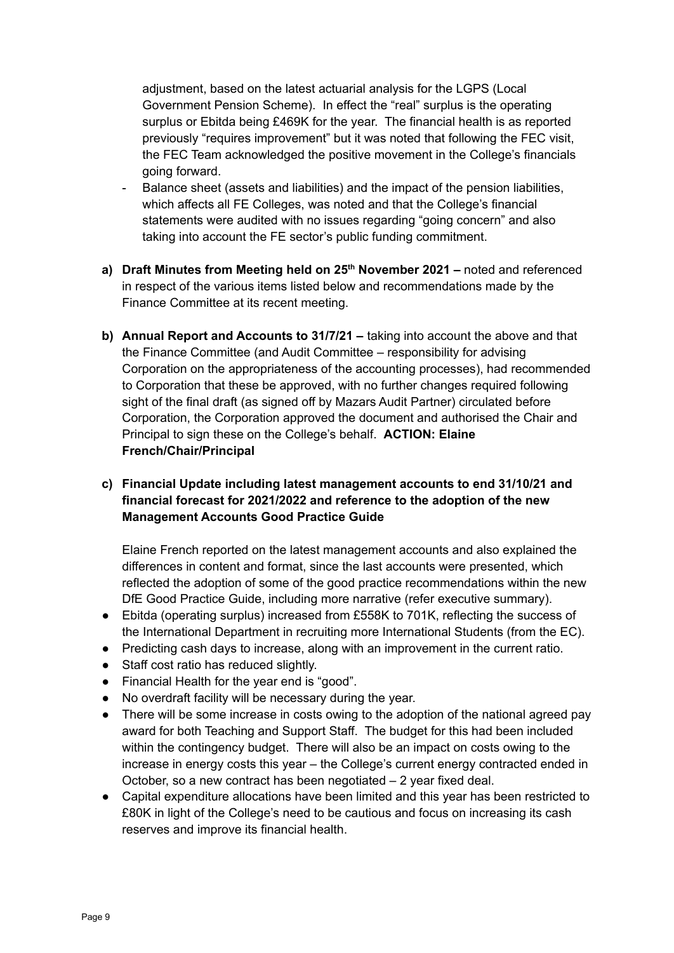adjustment, based on the latest actuarial analysis for the LGPS (Local Government Pension Scheme). In effect the "real" surplus is the operating surplus or Ebitda being £469K for the year. The financial health is as reported previously "requires improvement" but it was noted that following the FEC visit, the FEC Team acknowledged the positive movement in the College's financials going forward.

- Balance sheet (assets and liabilities) and the impact of the pension liabilities, which affects all FE Colleges, was noted and that the College's financial statements were audited with no issues regarding "going concern" and also taking into account the FE sector's public funding commitment.
- **a) Draft Minutes from Meeting held on 25 th November 2021 –** noted and referenced in respect of the various items listed below and recommendations made by the Finance Committee at its recent meeting.
- **b) Annual Report and Accounts to 31/7/21 –** taking into account the above and that the Finance Committee (and Audit Committee – responsibility for advising Corporation on the appropriateness of the accounting processes), had recommended to Corporation that these be approved, with no further changes required following sight of the final draft (as signed off by Mazars Audit Partner) circulated before Corporation, the Corporation approved the document and authorised the Chair and Principal to sign these on the College's behalf. **ACTION: Elaine French/Chair/Principal**

# **c) Financial Update including latest management accounts to end 31/10/21 and financial forecast for 2021/2022 and reference to the adoption of the new Management Accounts Good Practice Guide**

Elaine French reported on the latest management accounts and also explained the differences in content and format, since the last accounts were presented, which reflected the adoption of some of the good practice recommendations within the new DfE Good Practice Guide, including more narrative (refer executive summary).

- Ebitda (operating surplus) increased from £558K to 701K, reflecting the success of the International Department in recruiting more International Students (from the EC).
- Predicting cash days to increase, along with an improvement in the current ratio.
- Staff cost ratio has reduced slightly.
- Financial Health for the year end is "good".
- No overdraft facility will be necessary during the year.
- There will be some increase in costs owing to the adoption of the national agreed pay award for both Teaching and Support Staff. The budget for this had been included within the contingency budget. There will also be an impact on costs owing to the increase in energy costs this year – the College's current energy contracted ended in October, so a new contract has been negotiated – 2 year fixed deal.
- Capital expenditure allocations have been limited and this year has been restricted to £80K in light of the College's need to be cautious and focus on increasing its cash reserves and improve its financial health.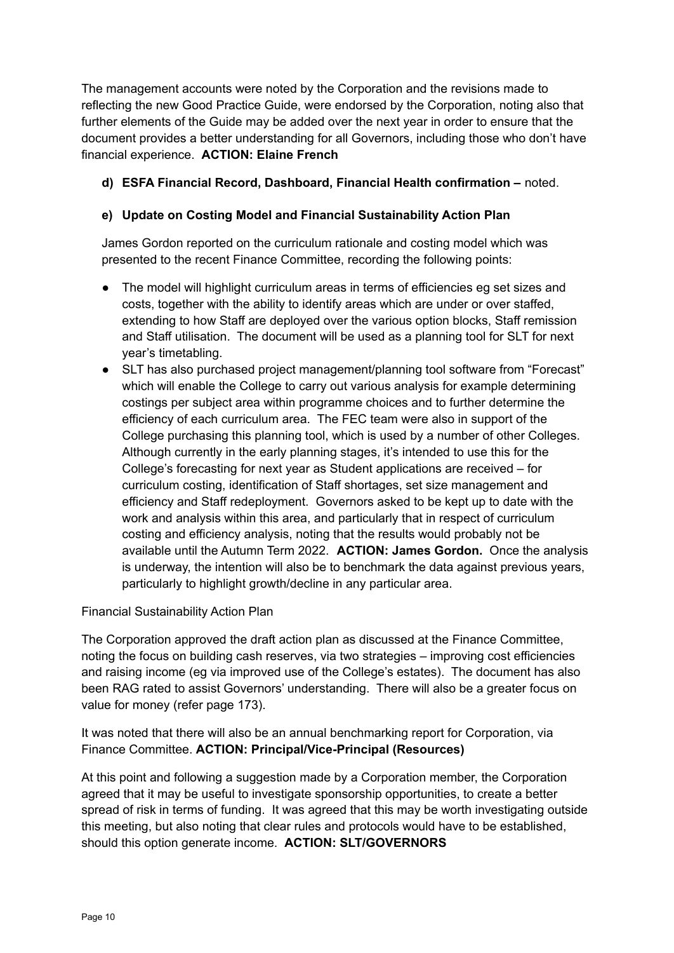The management accounts were noted by the Corporation and the revisions made to reflecting the new Good Practice Guide, were endorsed by the Corporation, noting also that further elements of the Guide may be added over the next year in order to ensure that the document provides a better understanding for all Governors, including those who don't have financial experience. **ACTION: Elaine French**

# **d) ESFA Financial Record, Dashboard, Financial Health confirmation –** noted.

## **e) Update on Costing Model and Financial Sustainability Action Plan**

James Gordon reported on the curriculum rationale and costing model which was presented to the recent Finance Committee, recording the following points:

- The model will highlight curriculum areas in terms of efficiencies eg set sizes and costs, together with the ability to identify areas which are under or over staffed, extending to how Staff are deployed over the various option blocks, Staff remission and Staff utilisation. The document will be used as a planning tool for SLT for next year's timetabling.
- SLT has also purchased project management/planning tool software from "Forecast" which will enable the College to carry out various analysis for example determining costings per subject area within programme choices and to further determine the efficiency of each curriculum area. The FEC team were also in support of the College purchasing this planning tool, which is used by a number of other Colleges. Although currently in the early planning stages, it's intended to use this for the College's forecasting for next year as Student applications are received – for curriculum costing, identification of Staff shortages, set size management and efficiency and Staff redeployment. Governors asked to be kept up to date with the work and analysis within this area, and particularly that in respect of curriculum costing and efficiency analysis, noting that the results would probably not be available until the Autumn Term 2022. **ACTION: James Gordon.** Once the analysis is underway, the intention will also be to benchmark the data against previous years, particularly to highlight growth/decline in any particular area.

Financial Sustainability Action Plan

The Corporation approved the draft action plan as discussed at the Finance Committee, noting the focus on building cash reserves, via two strategies – improving cost efficiencies and raising income (eg via improved use of the College's estates). The document has also been RAG rated to assist Governors' understanding. There will also be a greater focus on value for money (refer page 173).

It was noted that there will also be an annual benchmarking report for Corporation, via Finance Committee. **ACTION: Principal/Vice-Principal (Resources)**

At this point and following a suggestion made by a Corporation member, the Corporation agreed that it may be useful to investigate sponsorship opportunities, to create a better spread of risk in terms of funding. It was agreed that this may be worth investigating outside this meeting, but also noting that clear rules and protocols would have to be established, should this option generate income. **ACTION: SLT/GOVERNORS**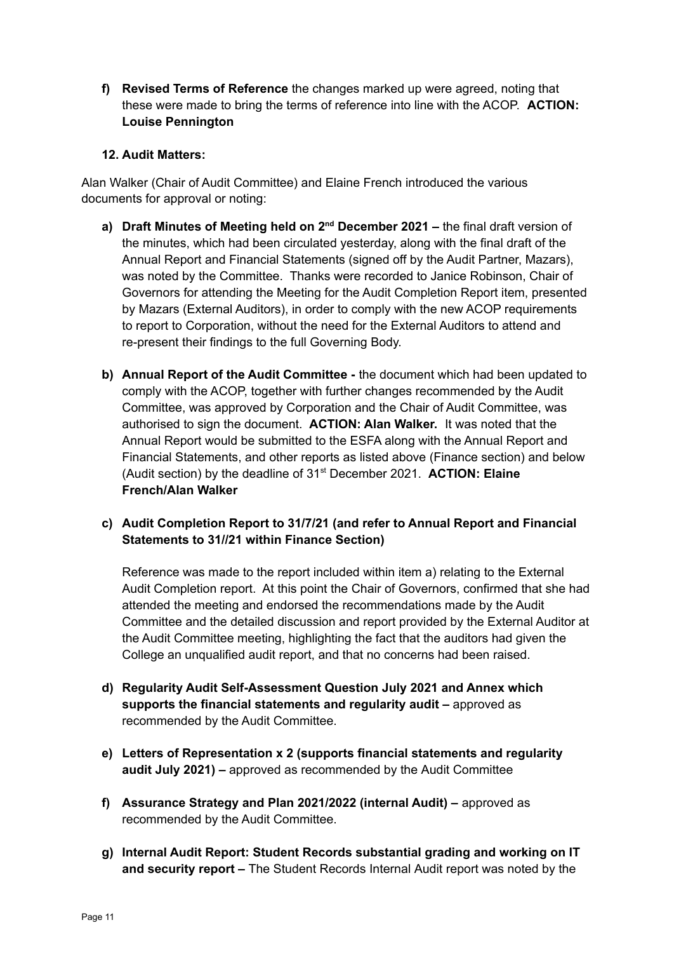**f) Revised Terms of Reference** the changes marked up were agreed, noting that these were made to bring the terms of reference into line with the ACOP. **ACTION: Louise Pennington**

### **12. Audit Matters:**

Alan Walker (Chair of Audit Committee) and Elaine French introduced the various documents for approval or noting:

- **a) Draft Minutes of Meeting held on 2<sup>nd</sup> December 2021 the final draft version of** the minutes, which had been circulated yesterday, along with the final draft of the Annual Report and Financial Statements (signed off by the Audit Partner, Mazars), was noted by the Committee. Thanks were recorded to Janice Robinson, Chair of Governors for attending the Meeting for the Audit Completion Report item, presented by Mazars (External Auditors), in order to comply with the new ACOP requirements to report to Corporation, without the need for the External Auditors to attend and re-present their findings to the full Governing Body.
- **b) Annual Report of the Audit Committee -** the document which had been updated to comply with the ACOP, together with further changes recommended by the Audit Committee, was approved by Corporation and the Chair of Audit Committee, was authorised to sign the document. **ACTION: Alan Walker.** It was noted that the Annual Report would be submitted to the ESFA along with the Annual Report and Financial Statements, and other reports as listed above (Finance section) and below (Audit section) by the deadline of 31<sup>st</sup> December 2021. **ACTION: Elaine French/Alan Walker**
- **c) Audit Completion Report to 31/7/21 (and refer to Annual Report and Financial Statements to 31//21 within Finance Section)**

Reference was made to the report included within item a) relating to the External Audit Completion report. At this point the Chair of Governors, confirmed that she had attended the meeting and endorsed the recommendations made by the Audit Committee and the detailed discussion and report provided by the External Auditor at the Audit Committee meeting, highlighting the fact that the auditors had given the College an unqualified audit report, and that no concerns had been raised.

- **d) Regularity Audit Self-Assessment Question July 2021 and Annex which supports the financial statements and regularity audit –** approved as recommended by the Audit Committee.
- **e) Letters of Representation x 2 (supports financial statements and regularity audit July 2021) –** approved as recommended by the Audit Committee
- **f) Assurance Strategy and Plan 2021/2022 (internal Audit) –** approved as recommended by the Audit Committee.
- **g) Internal Audit Report: Student Records substantial grading and working on IT and security report –** The Student Records Internal Audit report was noted by the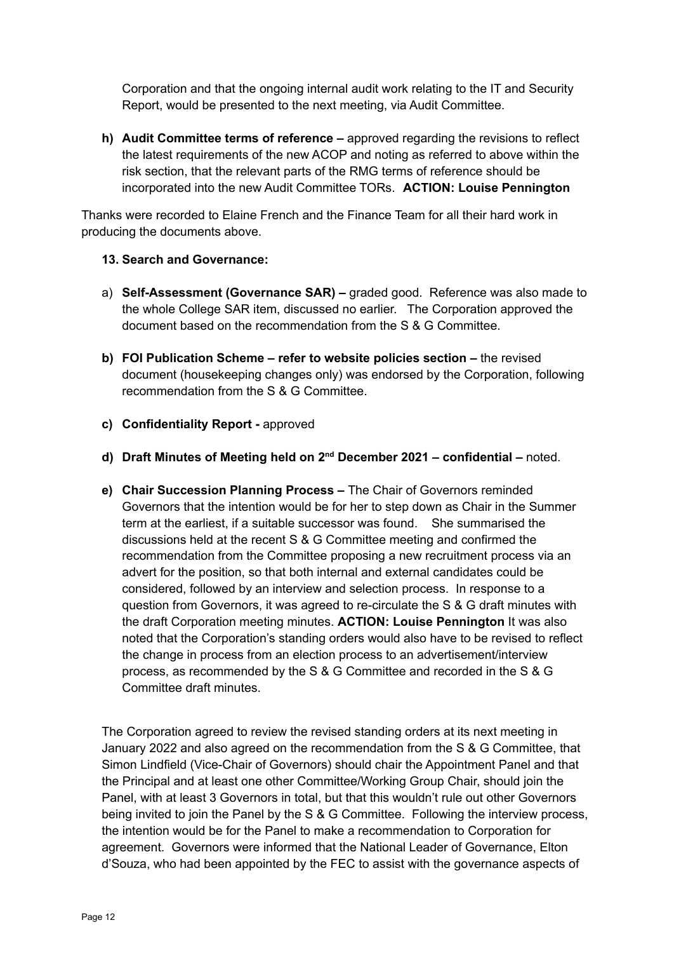Corporation and that the ongoing internal audit work relating to the IT and Security Report, would be presented to the next meeting, via Audit Committee.

**h) Audit Committee terms of reference –** approved regarding the revisions to reflect the latest requirements of the new ACOP and noting as referred to above within the risk section, that the relevant parts of the RMG terms of reference should be incorporated into the new Audit Committee TORs. **ACTION: Louise Pennington**

Thanks were recorded to Elaine French and the Finance Team for all their hard work in producing the documents above.

### **13. Search and Governance:**

- a) **Self-Assessment (Governance SAR) –** graded good. Reference was also made to the whole College SAR item, discussed no earlier. The Corporation approved the document based on the recommendation from the S & G Committee.
- **b) FOI Publication Scheme – refer to website policies section –** the revised document (housekeeping changes only) was endorsed by the Corporation, following recommendation from the S & G Committee.
- **c) Confidentiality Report -** approved
- **d) Draft Minutes of Meeting held on 2 nd December 2021 – confidential –** noted.
- **e) Chair Succession Planning Process –** The Chair of Governors reminded Governors that the intention would be for her to step down as Chair in the Summer term at the earliest, if a suitable successor was found. She summarised the discussions held at the recent S & G Committee meeting and confirmed the recommendation from the Committee proposing a new recruitment process via an advert for the position, so that both internal and external candidates could be considered, followed by an interview and selection process. In response to a question from Governors, it was agreed to re-circulate the S & G draft minutes with the draft Corporation meeting minutes. **ACTION: Louise Pennington** It was also noted that the Corporation's standing orders would also have to be revised to reflect the change in process from an election process to an advertisement/interview process, as recommended by the S & G Committee and recorded in the S & G Committee draft minutes.

The Corporation agreed to review the revised standing orders at its next meeting in January 2022 and also agreed on the recommendation from the S & G Committee, that Simon Lindfield (Vice-Chair of Governors) should chair the Appointment Panel and that the Principal and at least one other Committee/Working Group Chair, should join the Panel, with at least 3 Governors in total, but that this wouldn't rule out other Governors being invited to join the Panel by the S & G Committee. Following the interview process, the intention would be for the Panel to make a recommendation to Corporation for agreement. Governors were informed that the National Leader of Governance, Elton d'Souza, who had been appointed by the FEC to assist with the governance aspects of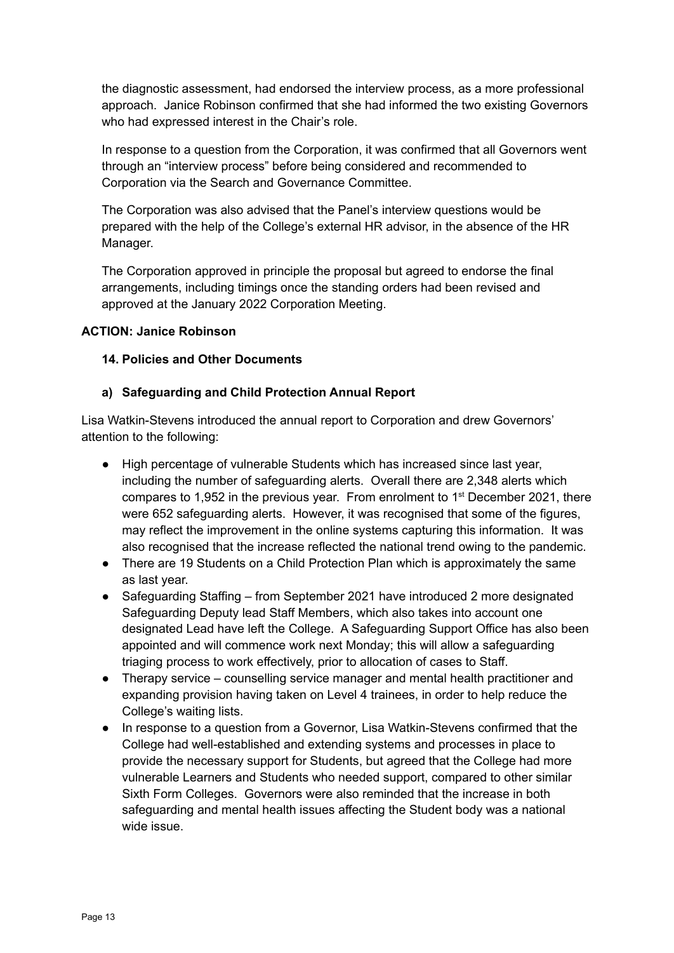the diagnostic assessment, had endorsed the interview process, as a more professional approach. Janice Robinson confirmed that she had informed the two existing Governors who had expressed interest in the Chair's role.

In response to a question from the Corporation, it was confirmed that all Governors went through an "interview process" before being considered and recommended to Corporation via the Search and Governance Committee.

The Corporation was also advised that the Panel's interview questions would be prepared with the help of the College's external HR advisor, in the absence of the HR Manager.

The Corporation approved in principle the proposal but agreed to endorse the final arrangements, including timings once the standing orders had been revised and approved at the January 2022 Corporation Meeting.

### **ACTION: Janice Robinson**

#### **14. Policies and Other Documents**

#### **a) Safeguarding and Child Protection Annual Report**

Lisa Watkin-Stevens introduced the annual report to Corporation and drew Governors' attention to the following:

- High percentage of vulnerable Students which has increased since last year, including the number of safeguarding alerts. Overall there are 2,348 alerts which compares to 1,952 in the previous year. From enrolment to  $1<sup>st</sup>$  December 2021, there were 652 safeguarding alerts. However, it was recognised that some of the figures, may reflect the improvement in the online systems capturing this information. It was also recognised that the increase reflected the national trend owing to the pandemic.
- There are 19 Students on a Child Protection Plan which is approximately the same as last year.
- Safeguarding Staffing from September 2021 have introduced 2 more designated Safeguarding Deputy lead Staff Members, which also takes into account one designated Lead have left the College. A Safeguarding Support Office has also been appointed and will commence work next Monday; this will allow a safeguarding triaging process to work effectively, prior to allocation of cases to Staff.
- Therapy service counselling service manager and mental health practitioner and expanding provision having taken on Level 4 trainees, in order to help reduce the College's waiting lists.
- In response to a question from a Governor, Lisa Watkin-Stevens confirmed that the College had well-established and extending systems and processes in place to provide the necessary support for Students, but agreed that the College had more vulnerable Learners and Students who needed support, compared to other similar Sixth Form Colleges. Governors were also reminded that the increase in both safeguarding and mental health issues affecting the Student body was a national wide issue.